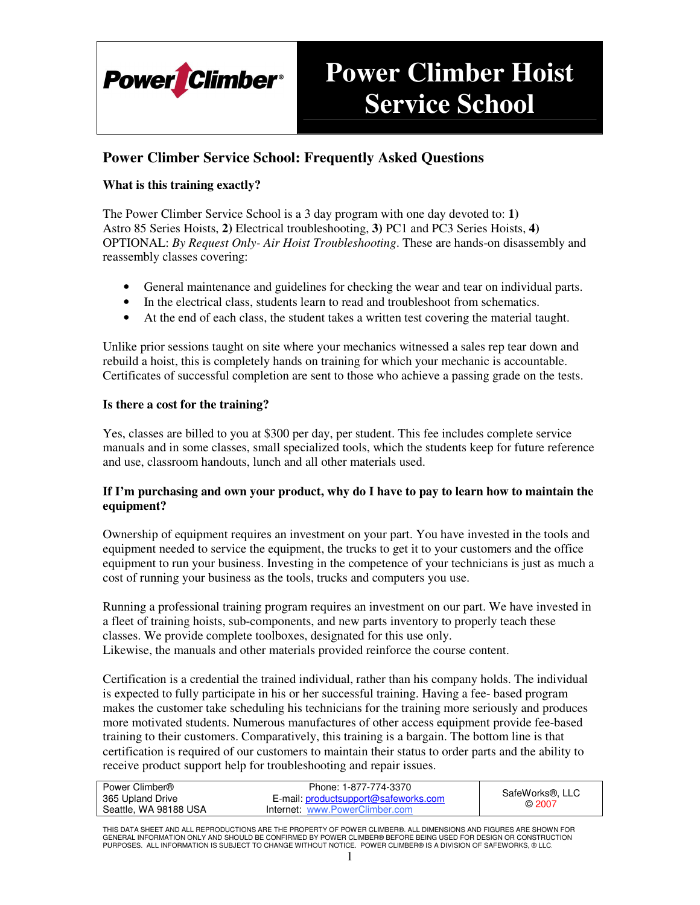

# **Power Climber Hoist Service School**

### **Power Climber Service School: Frequently Asked Questions**

### **What is this training exactly?**

The Power Climber Service School is a 3 day program with one day devoted to: **1)** Astro 85 Series Hoists, **2)** Electrical troubleshooting, **3)** PC1 and PC3 Series Hoists, **4)** OPTIONAL: *By Request Only- Air Hoist Troubleshooting*. These are hands-on disassembly and reassembly classes covering:

- General maintenance and guidelines for checking the wear and tear on individual parts.
- In the electrical class, students learn to read and troubleshoot from schematics.
- At the end of each class, the student takes a written test covering the material taught.

Unlike prior sessions taught on site where your mechanics witnessed a sales rep tear down and rebuild a hoist, this is completely hands on training for which your mechanic is accountable. Certificates of successful completion are sent to those who achieve a passing grade on the tests.

#### **Is there a cost for the training?**

Yes, classes are billed to you at \$300 per day, per student. This fee includes complete service manuals and in some classes, small specialized tools, which the students keep for future reference and use, classroom handouts, lunch and all other materials used.

#### **If I'm purchasing and own your product, why do I have to pay to learn how to maintain the equipment?**

Ownership of equipment requires an investment on your part. You have invested in the tools and equipment needed to service the equipment, the trucks to get it to your customers and the office equipment to run your business. Investing in the competence of your technicians is just as much a cost of running your business as the tools, trucks and computers you use.

Running a professional training program requires an investment on our part. We have invested in a fleet of training hoists, sub-components, and new parts inventory to properly teach these classes. We provide complete toolboxes, designated for this use only. Likewise, the manuals and other materials provided reinforce the course content.

Certification is a credential the trained individual, rather than his company holds. The individual is expected to fully participate in his or her successful training. Having a fee- based program makes the customer take scheduling his technicians for the training more seriously and produces more motivated students. Numerous manufactures of other access equipment provide fee-based training to their customers. Comparatively, this training is a bargain. The bottom line is that certification is required of our customers to maintain their status to order parts and the ability to receive product support help for troubleshooting and repair issues.

| Power Climber®        | Phone: 1-877-774-3370                |                                       |
|-----------------------|--------------------------------------|---------------------------------------|
| 365 Upland Drive      | E-mail: productsupport@safeworks.com | SafeWorks <sup>®</sup> , LLC<br>@2007 |
| Seattle, WA 98188 USA | Internet: www.PowerClimber.com       |                                       |

THIS DATA SHEET AND ALL REPRODUCTIONS ARE THE PROPERTY OF POWER CLIMBER®. ALL DIMENSIONS AND FIGURES ARE SHOWN FOR GENERAL INFORMATION ONLY AND SHOULD BE CONFIRMED BY POWER CLIMBER® BEFORE BEING USED FOR DESIGN OR CONSTRUCTION PURPOSES. ALL INFORMATION IS SUBJECT TO CHANGE WITHOUT NOTICE. POWER CLIMBER® IS A DIVISION OF SAFEWORKS, ® LLC.